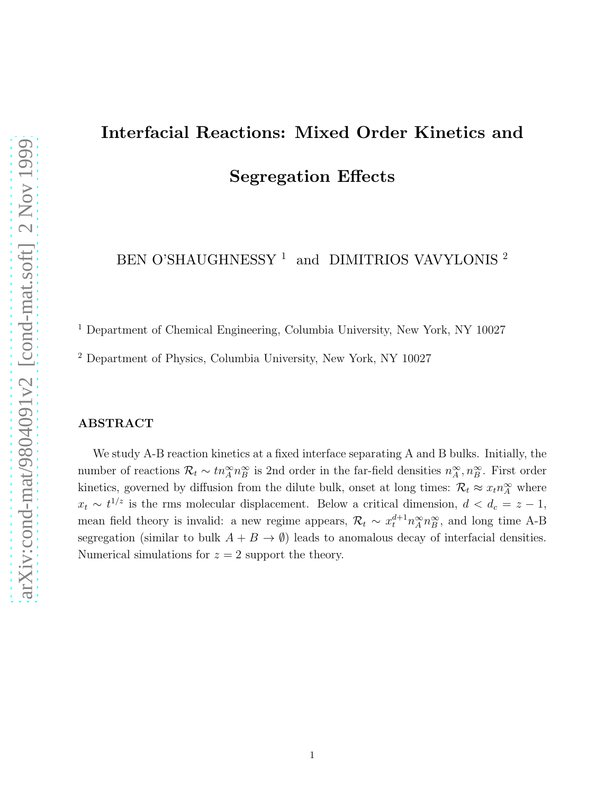## Interfacial Reactions: Mixed Order Kinetics and Segregation Effects

BEN O'SHAUGHNESSY $^1\,$  and  $\,$  DIMITRIOS VAVYLONIS  $^2$ 

<sup>1</sup> Department of Chemical Engineering, Columbia University, New York, NY 10027

<sup>2</sup> Department of Physics, Columbia University, New York, NY 10027

## ABSTRACT

We study A-B reaction kinetics at a fixed interface separating A and B bulks. Initially, the number of reactions  $\mathcal{R}_t \sim tn_A^{\infty} n_B^{\infty}$  is 2nd order in the far-field densities  $n_A^{\infty}, n_B^{\infty}$ . First order kinetics, governed by diffusion from the dilute bulk, onset at long times:  $\mathcal{R}_t \approx x_t n_A^{\infty}$  where  $x_t \sim t^{1/z}$  is the rms molecular displacement. Below a critical dimension,  $d < d_c = z - 1$ , mean field theory is invalid: a new regime appears,  $\mathcal{R}_t \sim x_t^{d+1} n_A^{\infty} n_B^{\infty}$ , and long time A-B segregation (similar to bulk  $A + B \rightarrow \emptyset$ ) leads to anomalous decay of interfacial densities. Numerical simulations for  $z = 2$  support the theory.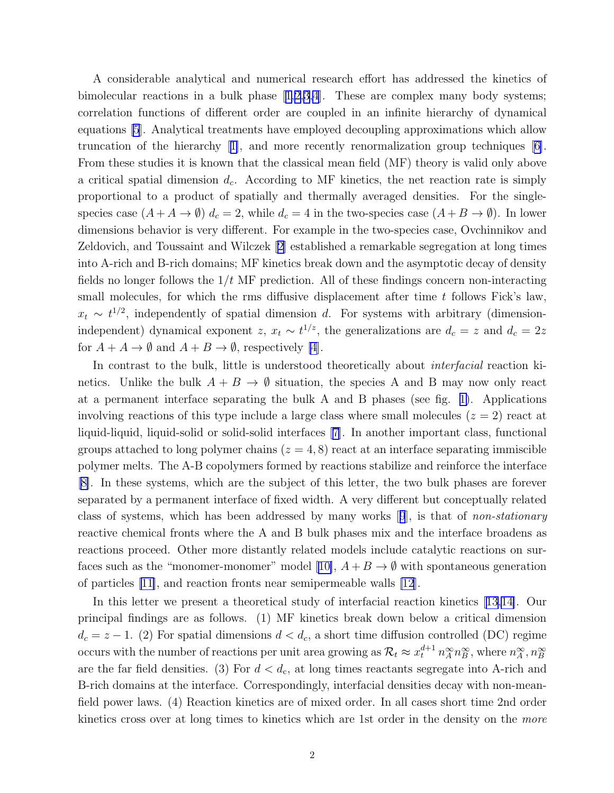A considerable analytical and numerical research effort has addressed the kinetics of bimolecularreactions in a bulk phase  $[1,2,3,4]$  $[1,2,3,4]$  $[1,2,3,4]$ . These are complex many body systems; correlation functions of different order are coupled in an infinite hierarchy of dynamical equations [\[5](#page-7-0)]. Analytical treatments have employed decoupling approximations which allow truncation of the hierarchy[[1\]](#page-7-0), and more recently renormalization group techniques [\[6\]](#page-7-0). From these studies it is known that the classical mean field (MF) theory is valid only above a critical spatial dimension  $d_c$ . According to MF kinetics, the net reaction rate is simply proportional to a product of spatially and thermally averaged densities. For the singlespecies case  $(A + A \rightarrow \emptyset)$   $d_c = 2$ , while  $d_c = 4$  in the two-species case  $(A + B \rightarrow \emptyset)$ . In lower dimensions behavior is very different. For example in the two-species case, Ovchinnikov and Zeldovich, and Toussaint and Wilczek [\[2\]](#page-7-0) established a remarkable segregation at long times into A-rich and B-rich domains; MF kinetics break down and the asymptotic decay of density fields no longer follows the  $1/t$  MF prediction. All of these findings concern non-interacting small molecules, for which the rms diffusive displacement after time  $t$  follows Fick's law,  $x_t \sim t^{1/2}$ , independently of spatial dimension d. For systems with arbitrary (dimensionindependent) dynamical exponent  $z, x_t \sim t^{1/z}$ , the generalizations are  $d_c = z$  and  $d_c = 2z$ for  $A + A \rightarrow \emptyset$  and  $A + B \rightarrow \emptyset$ , respectively [\[4](#page-7-0)].

In contrast to the bulk, little is understood theoretically about *interfacial* reaction kinetics. Unlike the bulk  $A + B \rightarrow \emptyset$  situation, the species A and B may now only react at a permanent interface separating the bulk A and B phases (see fig. [1\)](#page-8-0). Applications involving reactions of this type include a large class where small molecules  $(z = 2)$  react at liquid-liquid, liquid-solid or solid-solid interfaces [\[7\]](#page-7-0). In another important class, functional groups attached to long polymer chains  $(z = 4, 8)$  react at an interface separating immiscible polymer melts. The A-B copolymers formed by reactions stabilize and reinforce the interface [[8\]](#page-7-0). In these systems, which are the subject of this letter, the two bulk phases are forever separated by a permanent interface of fixed width. A very different but conceptually related class of systems, which has been addressed by many works[[9](#page-7-0)], is that of non-stationary reactive chemical fronts where the A and B bulk phases mix and the interface broadens as reactions proceed. Other more distantly related models include catalytic reactions on sur-facessuch as the "monomer-monomer" model [[10\]](#page-7-0),  $A + B \rightarrow \emptyset$  with spontaneous generation of particles [\[11\]](#page-7-0), and reaction fronts near semipermeable walls [\[12](#page-7-0)].

In this letter we present a theoretical study of interfacial reaction kinetics [\[13,14\]](#page-7-0). Our principal findings are as follows. (1) MF kinetics break down below a critical dimension  $d_c = z - 1$ . (2) For spatial dimensions  $d < d_c$ , a short time diffusion controlled (DC) regime occurs with the number of reactions per unit area growing as  $\mathcal{R}_t \approx x_t^{d+1} n_A^{\infty} n_B^{\infty}$ , where  $n_A^{\infty}$ ,  $n_B^{\infty}$ are the far field densities. (3) For  $d < d_c$ , at long times reactants segregate into A-rich and B-rich domains at the interface. Correspondingly, interfacial densities decay with non-meanfield power laws. (4) Reaction kinetics are of mixed order. In all cases short time 2nd order kinetics cross over at long times to kinetics which are 1st order in the density on the more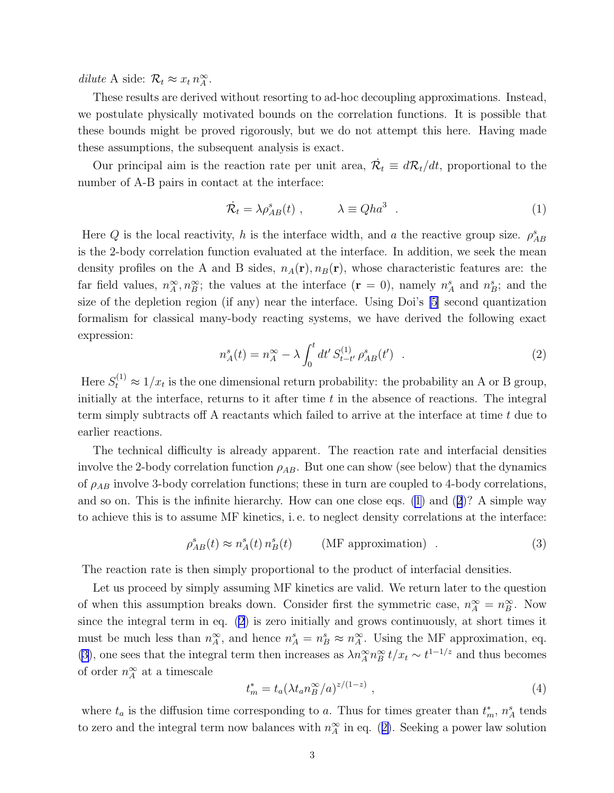<span id="page-2-0"></span>dilute A side:  $\mathcal{R}_t \approx x_t n_A^{\infty}$ .

These results are derived without resorting to ad-hoc decoupling approximations. Instead, we postulate physically motivated bounds on the correlation functions. It is possible that these bounds might be proved rigorously, but we do not attempt this here. Having made these assumptions, the subsequent analysis is exact.

Our principal aim is the reaction rate per unit area,  $\dot{\mathcal{R}}_t \equiv d\mathcal{R}_t/dt$ , proportional to the number of A-B pairs in contact at the interface:

$$
\dot{\mathcal{R}}_t = \lambda \rho_{AB}^s(t) , \qquad \lambda \equiv Q h a^3 . \qquad (1)
$$

Here Q is the local reactivity, h is the interface width, and a the reactive group size.  $\rho_{AB}^s$ is the 2-body correlation function evaluated at the interface. In addition, we seek the mean density profiles on the A and B sides,  $n_A(r), n_B(r)$ , whose characteristic features are: the far field values,  $n_A^{\infty}, n_B^{\infty}$ ; the values at the interface  $(\mathbf{r} = 0)$ , namely  $n_A^s$  and  $n_B^s$ ; and the size of the depletion region (if any) near the interface. Using Doi's [\[5\]](#page-7-0) second quantization formalism for classical many-body reacting systems, we have derived the following exact expression:

$$
n_A^s(t) = n_A^\infty - \lambda \int_0^t dt' S_{t-t'}^{(1)} \rho_{AB}^s(t') \quad . \tag{2}
$$

Here  $S_t^{(1)} \approx 1/x_t$  is the one dimensional return probability: the probability an A or B group, initially at the interface, returns to it after time  $t$  in the absence of reactions. The integral term simply subtracts off A reactants which failed to arrive at the interface at time t due to earlier reactions.

The technical difficulty is already apparent. The reaction rate and interfacial densities involve the 2-body correlation function  $\rho_{AB}$ . But one can show (see below) that the dynamics of  $\rho_{AB}$  involve 3-body correlation functions; these in turn are coupled to 4-body correlations, and so on. This is the infinite hierarchy. How can one close eqs. (1) and (2)? A simple way to achieve this is to assume MF kinetics, i. e. to neglect density correlations at the interface:

$$
\rho_{AB}^s(t) \approx n_A^s(t) n_B^s(t) \qquad \text{(MF approximation)} \tag{3}
$$

The reaction rate is then simply proportional to the product of interfacial densities.

Let us proceed by simply assuming MF kinetics are valid. We return later to the question of when this assumption breaks down. Consider first the symmetric case,  $n_A^{\infty} = n_B^{\infty}$ . Now since the integral term in eq. (2) is zero initially and grows continuously, at short times it must be much less than  $n_A^{\infty}$ , and hence  $n_A^s = n_B^s \approx n_A^{\infty}$ . Using the MF approximation, eq. (3), one sees that the integral term then increases as  $\lambda n_A^{\infty} n_B^{\infty} t/x_t \sim t^{1-1/z}$  and thus becomes of order  $n_A^{\infty}$  at a timescale

$$
t_m^* = t_a (\lambda t_a n_B^{\infty}/a)^{z/(1-z)} , \qquad (4)
$$

where  $t_a$  is the diffusion time corresponding to a. Thus for times greater than  $t_m^*$ ,  $n_A^s$  tends to zero and the integral term now balances with  $n_A^{\infty}$  in eq. (2). Seeking a power law solution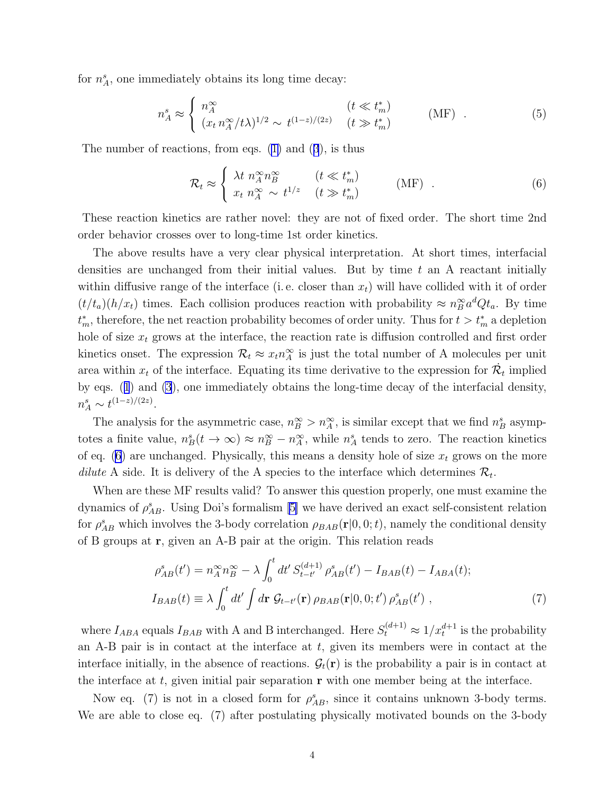<span id="page-3-0"></span>for  $n_A^s$ , one immediately obtains its long time decay:

$$
n_A^s \approx \begin{cases} n_A^\infty & (t \ll t_m^*)\\ (x_t \, n_A^\infty / t\lambda)^{1/2} \sim t^{(1-z)/(2z)} & (t \gg t_m^*) \end{cases} \tag{5}
$$

The number of reactions, from eqs.([1\)](#page-2-0) and([3](#page-2-0)), is thus

$$
\mathcal{R}_t \approx \begin{cases} \lambda t \; n_A^{\infty} n_B^{\infty} & (t \ll t_m^*) \\ x_t \; n_A^{\infty} \sim t^{1/z} & (t \gg t_m^*) \end{cases} \tag{6}
$$

These reaction kinetics are rather novel: they are not of fixed order. The short time 2nd order behavior crosses over to long-time 1st order kinetics.

The above results have a very clear physical interpretation. At short times, interfacial densities are unchanged from their initial values. But by time  $t$  an A reactant initially within diffusive range of the interface (i.e. closer than  $x_t$ ) will have collided with it of order  $(t/t_a)(h/x_t)$  times. Each collision produces reaction with probability  $\approx n_B^{\infty} a^d Q t_a$ . By time  $t_m^*$ , therefore, the net reaction probability becomes of order unity. Thus for  $t > t_m^*$  a depletion hole of size  $x_t$  grows at the interface, the reaction rate is diffusion controlled and first order kinetics onset. The expression  $\mathcal{R}_t \approx x_t n_A^{\infty}$  is just the total number of A molecules per unit area within  $x_t$  of the interface. Equating its time derivative to the expression for  $\dot{\mathcal{R}}_t$  implied by eqs.([1](#page-2-0)) and [\(3](#page-2-0)), one immediately obtains the long-time decay of the interfacial density,  $n_A^s \sim t^{(1-z)/(2z)}$ .

The analysis for the asymmetric case,  $n_B^{\infty} > n_A^{\infty}$ , is similar except that we find  $n_B^s$  asymptotes a finite value,  $n_B^s(t \to \infty) \approx n_B^{\infty} - n_A^{\infty}$ , while  $n_A^s$  tends to zero. The reaction kinetics of eq. (6) are unchanged. Physically, this means a density hole of size  $x_t$  grows on the more dilute A side. It is delivery of the A species to the interface which determines  $\mathcal{R}_t$ .

When are these MF results valid? To answer this question properly, one must examine the dynamicsof  $\rho_{AB}^s$ . Using Doi's formalism [[5\]](#page-7-0) we have derived an exact self-consistent relation for  $\rho_{AB}^s$  which involves the 3-body correlation  $\rho_{BAB}(\mathbf{r}|0,0;t)$ , namely the conditional density of B groups at r, given an A-B pair at the origin. This relation reads

$$
\rho_{AB}^{s}(t') = n_A^{\infty} n_B^{\infty} - \lambda \int_0^t dt' S_{t-t'}^{(d+1)} \rho_{AB}^{s}(t') - I_{BAB}(t) - I_{ABA}(t);
$$
  
\n
$$
I_{BAB}(t) \equiv \lambda \int_0^t dt' \int d\mathbf{r} \mathcal{G}_{t-t'}(\mathbf{r}) \rho_{BAB}(\mathbf{r}|0,0;t') \rho_{AB}^{s}(t') ,
$$
\n(7)

where  $I_{ABA}$  equals  $I_{BAB}$  with A and B interchanged. Here  $S_t^{(d+1)} \approx 1/x_t^{d+1}$  is the probability an A-B pair is in contact at the interface at  $t$ , given its members were in contact at the interface initially, in the absence of reactions.  $\mathcal{G}_t(\mathbf{r})$  is the probability a pair is in contact at the interface at t, given initial pair separation  $\bf{r}$  with one member being at the interface.

Now eq. (7) is not in a closed form for  $\rho_{AB}^s$ , since it contains unknown 3-body terms. We are able to close eq. (7) after postulating physically motivated bounds on the 3-body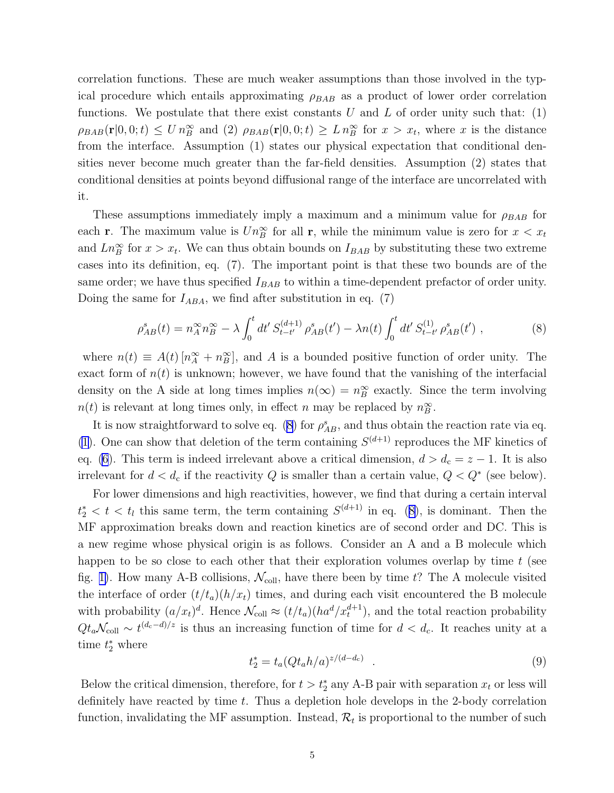<span id="page-4-0"></span>correlation functions. These are much weaker assumptions than those involved in the typical procedure which entails approximating  $\rho_{BAB}$  as a product of lower order correlation functions. We postulate that there exist constants  $U$  and  $L$  of order unity such that: (1)  $\rho_{BAB}(\mathbf{r}|0,0;t) \leq U n_B^{\infty}$  and (2)  $\rho_{BAB}(\mathbf{r}|0,0;t) \geq L n_B^{\infty}$  for  $x > x_t$ , where x is the distance from the interface. Assumption (1) states our physical expectation that conditional densities never become much greater than the far-field densities. Assumption (2) states that conditional densities at points beyond diffusional range of the interface are uncorrelated with it.

These assumptions immediately imply a maximum and a minimum value for  $\rho_{BAB}$  for each **r**. The maximum value is  $Un_{B}^{\infty}$  for all **r**, while the minimum value is zero for  $x < x_{t}$ and  $Ln_B^{\infty}$  for  $x > x_t$ . We can thus obtain bounds on  $I_{BAB}$  by substituting these two extreme cases into its definition, eq. (7). The important point is that these two bounds are of the same order; we have thus specified  $I_{BAB}$  to within a time-dependent prefactor of order unity. Doing the same for  $I_{ABA}$ , we find after substitution in eq. (7)

$$
\rho_{AB}^s(t) = n_A^\infty n_B^\infty - \lambda \int_0^t dt' S_{t-t'}^{(d+1)} \rho_{AB}^s(t') - \lambda n(t) \int_0^t dt' S_{t-t'}^{(1)} \rho_{AB}^s(t') , \qquad (8)
$$

where  $n(t) \equiv A(t) [n_A^{\infty} + n_B^{\infty}],$  and A is a bounded positive function of order unity. The exact form of  $n(t)$  is unknown; however, we have found that the vanishing of the interfacial density on the A side at long times implies  $n(\infty) = n_B^{\infty}$  exactly. Since the term involving  $n(t)$  is relevant at long times only, in effect n may be replaced by  $n_B^{\infty}$ .

It is now straightforward to solve eq. (8) for  $\rho_{AB}^s$ , and thus obtain the reaction rate via eq. [\(1](#page-2-0)). One can show that deletion of the term containing  $S^{(d+1)}$  reproduces the MF kinetics of eq. [\(6](#page-3-0)). This term is indeed irrelevant above a critical dimension,  $d > d_c = z - 1$ . It is also irrelevant for  $d < d_c$  if the reactivity Q is smaller than a certain value,  $Q < Q^*$  (see below).

For lower dimensions and high reactivities, however, we find that during a certain interval  $t_2^* < t < t_l$  this same term, the term containing  $S^{(d+1)}$  in eq. (8), is dominant. Then the MF approximation breaks down and reaction kinetics are of second order and DC. This is a new regime whose physical origin is as follows. Consider an A and a B molecule which happen to be so close to each other that their exploration volumes overlap by time  $t$  (see fig. [1\)](#page-8-0). How many A-B collisions,  $\mathcal{N}_{\text{coll}}$ , have there been by time t? The A molecule visited the interface of order  $(t/t_a)(h/x_t)$  times, and during each visit encountered the B molecule with probability  $(a/x_t)^d$ . Hence  $\mathcal{N}_{\text{coll}} \approx (t/t_a)(ha^d/x_t^{d+1})$ , and the total reaction probability  $Qt_a\mathcal{N}_{\text{coll}} \sim t^{(d_c-d)/z}$  is thus an increasing function of time for  $d < d_c$ . It reaches unity at a time  $t_2^*$  where

$$
t_2^* = t_a (Qt_a h/a)^{z/(d-d_c)} \t . \t (9)
$$

Below the critical dimension, therefore, for  $t > t_2^*$  any A-B pair with separation  $x_t$  or less will definitely have reacted by time t. Thus a depletion hole develops in the 2-body correlation function, invalidating the MF assumption. Instead,  $\mathcal{R}_t$  is proportional to the number of such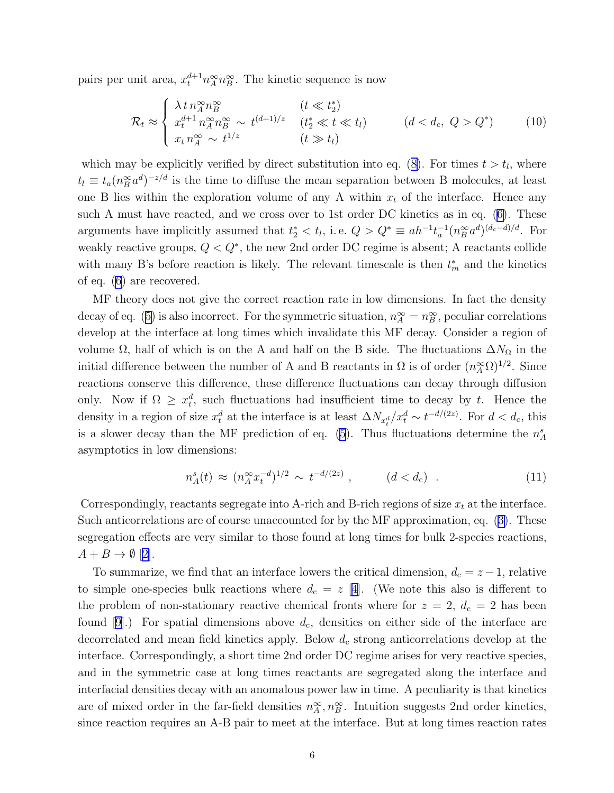<span id="page-5-0"></span>pairs per unit area,  $x_t^{d+1} n_A^{\infty} n_B^{\infty}$ . The kinetic sequence is now

$$
\mathcal{R}_t \approx \begin{cases}\n\lambda \, t \, n_A^{\infty} n_B^{\infty} & (t \ll t_2^*) \\
x_t^{d+1} \, n_A^{\infty} n_B^{\infty} \sim t^{(d+1)/z} & (t_2^* \ll t \ll t_l) \\
x_t \, n_A^{\infty} \sim t^{1/z} & (t \gg t_l)\n\end{cases} \tag{10}
$$

which may be explicitly verified by direct substitution into eq. [\(8\)](#page-4-0). For times  $t > t<sub>l</sub>$ , where  $t_l \equiv t_a (n_B^{\infty} a^d)^{-z/d}$  is the time to diffuse the mean separation between B molecules, at least one B lies within the exploration volume of any A within  $x_t$  of the interface. Hence any such A must have reacted, and we cross over to 1st order DC kinetics as in eq.([6\)](#page-3-0). These arguments have implicitly assumed that  $t_2^* < t_l$ , i.e.  $Q > Q^* \equiv ah^{-1}t_a^{-1}(n_B^{\infty}a^d)^{(d_c-d)/d}$ . For weakly reactive groups,  $Q < Q^*$ , the new 2nd order DC regime is absent; A reactants collide with many B's before reaction is likely. The relevant timescale is then  $t_m^*$  and the kinetics of eq. [\(6](#page-3-0)) are recovered.

MF theory does not give the correct reaction rate in low dimensions. In fact the density decayof eq. ([5\)](#page-3-0) is also incorrect. For the symmetric situation,  $n_A^{\infty} = n_B^{\infty}$ , peculiar correlations develop at the interface at long times which invalidate this MF decay. Consider a region of volume  $\Omega$ , half of which is on the A and half on the B side. The fluctuations  $\Delta N_{\Omega}$  in the initial difference between the number of A and B reactants in  $\Omega$  is of order  $(n_A^{\infty}\Omega)^{1/2}$ . Since reactions conserve this difference, these difference fluctuations can decay through diffusion only. Now if  $\Omega \geq x_t^d$ , such fluctuations had insufficient time to decay by t. Hence the density in a region of size  $x_t^d$  at the interface is at least  $\Delta N_{x_t^d}/x_t^d \sim t^{-d/(2z)}$ . For  $d < d_c$ , this isa slower decay than the MF prediction of eq. ([5\)](#page-3-0). Thus fluctuations determine the  $n_A^s$ asymptotics in low dimensions:

$$
n_A^s(t) \approx (n_A^{\infty} x_t^{-d})^{1/2} \sim t^{-d/(2z)}, \qquad (d < d_c) \quad . \tag{11}
$$

Correspondingly, reactants segregate into A-rich and B-rich regions of size  $x_t$  at the interface. Such anticorrelations are of course unaccounted for by the MF approximation, eq.([3\)](#page-2-0). These segregation effects are very similar to those found at long times for bulk 2-species reactions,  $A + B \rightarrow \emptyset$  [\[2\]](#page-7-0).

To summarize, we find that an interface lowers the critical dimension,  $d_c = z - 1$ , relative to simple one-species bulk reactions where  $d_c = z$  [[4\]](#page-7-0). (We note this also is different to the problem of non-stationary reactive chemical fronts where for  $z = 2$ ,  $d_c = 2$  has been found  $[9]$ .) For spatial dimensions above  $d_c$ , densities on either side of the interface are decorrelated and mean field kinetics apply. Below  $d_c$  strong anticorrelations develop at the interface. Correspondingly, a short time 2nd order DC regime arises for very reactive species, and in the symmetric case at long times reactants are segregated along the interface and interfacial densities decay with an anomalous power law in time. A peculiarity is that kinetics are of mixed order in the far-field densities  $n_A^{\infty}, n_B^{\infty}$ . Intuition suggests 2nd order kinetics, since reaction requires an A-B pair to meet at the interface. But at long times reaction rates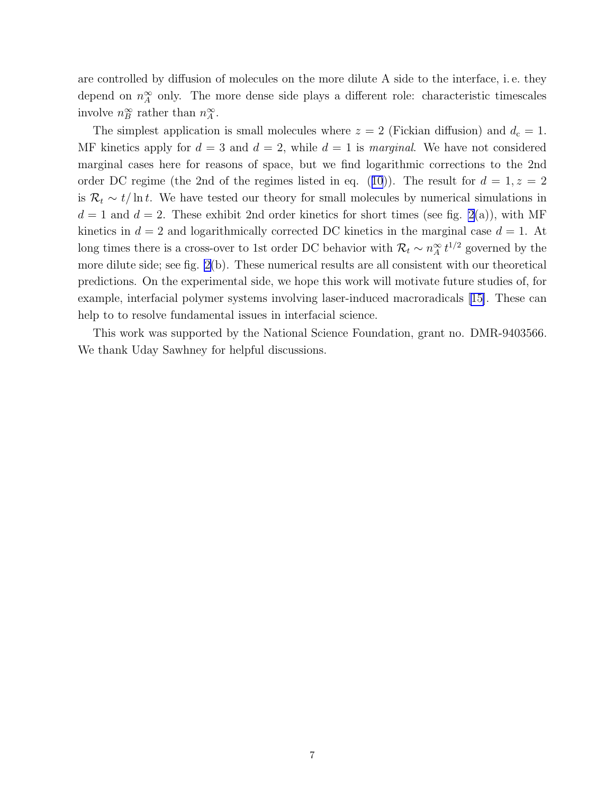are controlled by diffusion of molecules on the more dilute A side to the interface, i. e. they depend on  $n_A^{\infty}$  only. The more dense side plays a different role: characteristic timescales involve  $n_B^{\infty}$  rather than  $n_A^{\infty}$ .

The simplest application is small molecules where  $z = 2$  (Fickian diffusion) and  $d_c = 1$ . MF kinetics apply for  $d = 3$  and  $d = 2$ , while  $d = 1$  is *marginal*. We have not considered marginal cases here for reasons of space, but we find logarithmic corrections to the 2nd orderDC regime (the 2nd of the regimes listed in eq. ([10](#page-5-0))). The result for  $d = 1, z = 2$ is  $\mathcal{R}_t \sim t/\ln t$ . We have tested our theory for small molecules by numerical simulations in  $d = 1$  and  $d = 2$  $d = 2$ . These exhibit 2nd order kinetics for short times (see fig. 2(a)), with MF kinetics in  $d = 2$  and logarithmically corrected DC kinetics in the marginal case  $d = 1$ . At long times there is a cross-over to 1st order DC behavior with  $\mathcal{R}_t \sim n_A^{\infty} t^{1/2}$  governed by the more dilute side; see fig. [2\(](#page-8-0)b). These numerical results are all consistent with our theoretical predictions. On the experimental side, we hope this work will motivate future studies of, for example, interfacial polymer systems involving laser-induced macroradicals[[15\]](#page-7-0). These can help to to resolve fundamental issues in interfacial science.

This work was supported by the National Science Foundation, grant no. DMR-9403566. We thank Uday Sawhney for helpful discussions.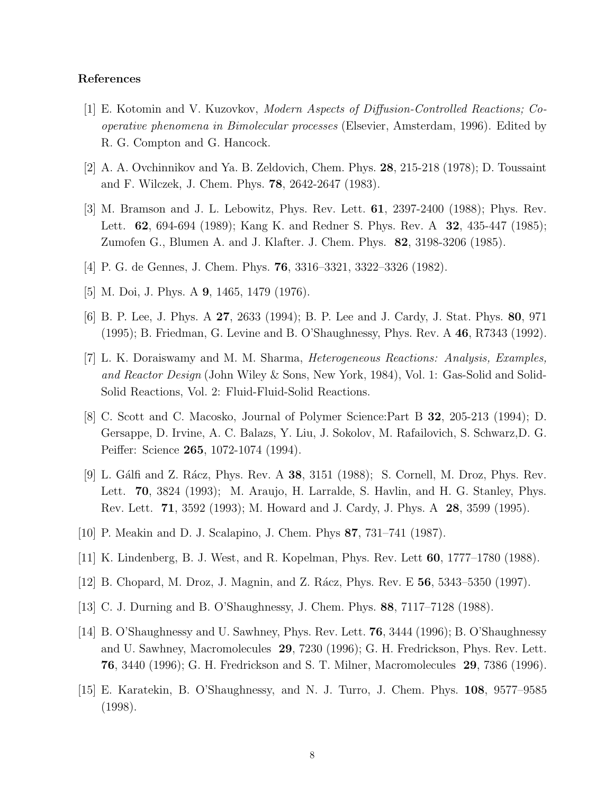## <span id="page-7-0"></span>References

- [1] E. Kotomin and V. Kuzovkov, Modern Aspects of Diffusion-Controlled Reactions; Cooperative phenomena in Bimolecular processes (Elsevier, Amsterdam, 1996). Edited by R. G. Compton and G. Hancock.
- [2] A. A. Ovchinnikov and Ya. B. Zeldovich, Chem. Phys. 28, 215-218 (1978); D. Toussaint and F. Wilczek, J. Chem. Phys. 78, 2642-2647 (1983).
- [3] M. Bramson and J. L. Lebowitz, Phys. Rev. Lett. 61, 2397-2400 (1988); Phys. Rev. Lett. **62**, 694-694 (1989); Kang K. and Redner S. Phys. Rev. A **32**, 435-447 (1985); Zumofen G., Blumen A. and J. Klafter. J. Chem. Phys. 82, 3198-3206 (1985).
- [4] P. G. de Gennes, J. Chem. Phys. 76, 3316–3321, 3322–3326 (1982).
- [5] M. Doi, J. Phys. A 9, 1465, 1479 (1976).
- [6] B. P. Lee, J. Phys. A 27, 2633 (1994); B. P. Lee and J. Cardy, J. Stat. Phys. 80, 971 (1995); B. Friedman, G. Levine and B. O'Shaughnessy, Phys. Rev. A 46, R7343 (1992).
- [7] L. K. Doraiswamy and M. M. Sharma, Heterogeneous Reactions: Analysis, Examples, and Reactor Design (John Wiley & Sons, New York, 1984), Vol. 1: Gas-Solid and Solid-Solid Reactions, Vol. 2: Fluid-Fluid-Solid Reactions.
- [8] C. Scott and C. Macosko, Journal of Polymer Science:Part B 32, 205-213 (1994); D. Gersappe, D. Irvine, A. C. Balazs, Y. Liu, J. Sokolov, M. Rafailovich, S. Schwarz,D. G. Peiffer: Science 265, 1072-1074 (1994).
- [9] L. Gálfi and Z. Rácz, Phys. Rev. A 38, 3151 (1988); S. Cornell, M. Droz, Phys. Rev. Lett. 70, 3824 (1993); M. Araujo, H. Larralde, S. Havlin, and H. G. Stanley, Phys. Rev. Lett. 71, 3592 (1993); M. Howard and J. Cardy, J. Phys. A 28, 3599 (1995).
- [10] P. Meakin and D. J. Scalapino, J. Chem. Phys 87, 731–741 (1987).
- [11] K. Lindenberg, B. J. West, and R. Kopelman, Phys. Rev. Lett 60, 1777–1780 (1988).
- [12] B. Chopard, M. Droz, J. Magnin, and Z. Rácz, Phys. Rev. E 56, 5343–5350 (1997).
- [13] C. J. Durning and B. O'Shaughnessy, J. Chem. Phys. 88, 7117–7128 (1988).
- [14] B. O'Shaughnessy and U. Sawhney, Phys. Rev. Lett. 76, 3444 (1996); B. O'Shaughnessy and U. Sawhney, Macromolecules 29, 7230 (1996); G. H. Fredrickson, Phys. Rev. Lett. 76, 3440 (1996); G. H. Fredrickson and S. T. Milner, Macromolecules 29, 7386 (1996).
- [15] E. Karatekin, B. O'Shaughnessy, and N. J. Turro, J. Chem. Phys. 108, 9577–9585 (1998).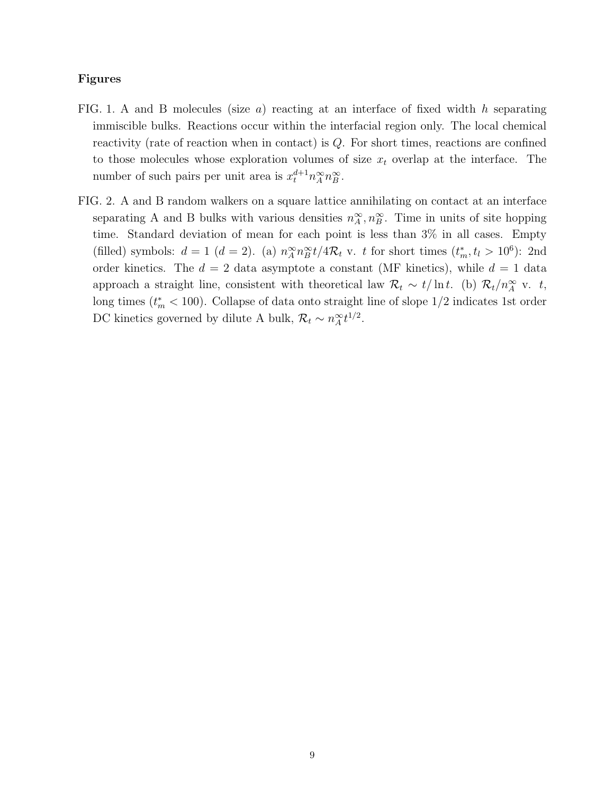## <span id="page-8-0"></span>Figures

- FIG. 1. A and B molecules (size  $a$ ) reacting at an interface of fixed width h separating immiscible bulks. Reactions occur within the interfacial region only. The local chemical reactivity (rate of reaction when in contact) is Q. For short times, reactions are confined to those molecules whose exploration volumes of size  $x_t$  overlap at the interface. The number of such pairs per unit area is  $x_t^{d+1} n_A^{\infty} n_B^{\infty}$ .
- FIG. 2. A and B random walkers on a square lattice annihilating on contact at an interface separating A and B bulks with various densities  $n_A^{\infty}, n_B^{\infty}$ . Time in units of site hopping time. Standard deviation of mean for each point is less than 3% in all cases. Empty (filled) symbols:  $d = 1$   $(d = 2)$ . (a)  $n_A^{\infty} n_B^{\infty} t / 4 \mathcal{R}_t$  v. t for short times  $(t_m^*, t_l > 10^6)$ : 2nd order kinetics. The  $d = 2$  data asymptote a constant (MF kinetics), while  $d = 1$  data approach a straight line, consistent with theoretical law  $\mathcal{R}_t \sim t/\ln t$ . (b)  $\mathcal{R}_t/n_A^{\infty}$  v. t, long times  $(t<sub>m</sub><sup>*</sup> < 100)$ . Collapse of data onto straight line of slope 1/2 indicates 1st order DC kinetics governed by dilute A bulk,  $\mathcal{R}_t \sim n_A^{\infty} t^{1/2}$ .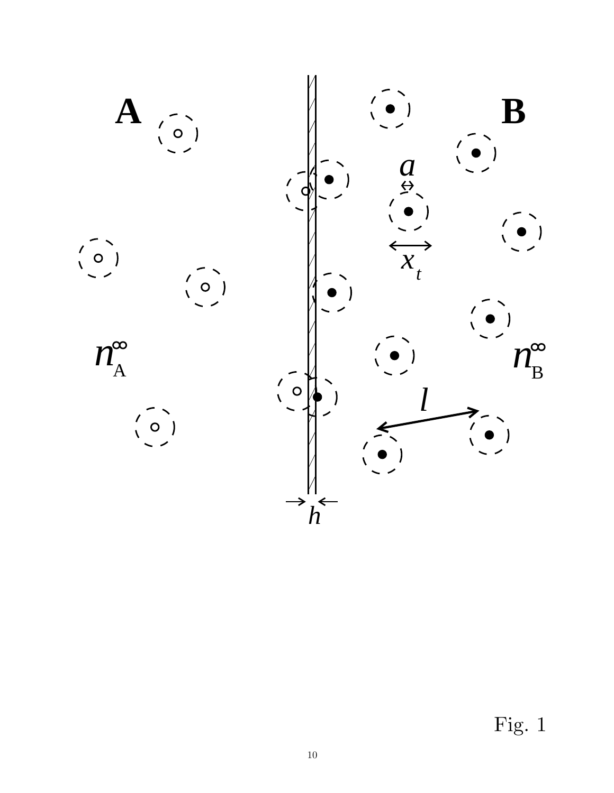

Fig. 1